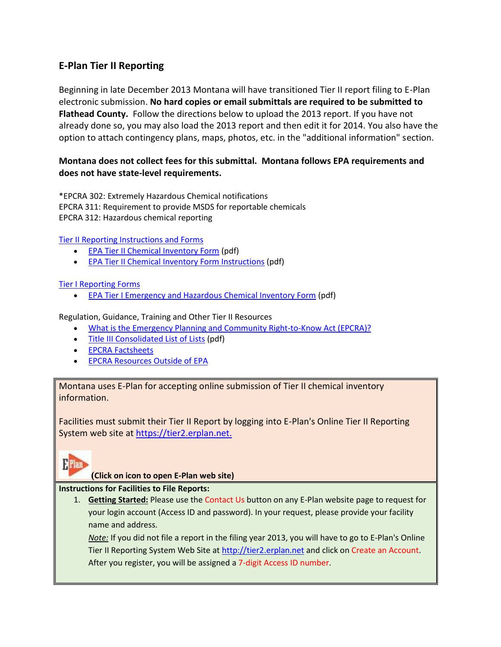## **E-Plan Tier II Reporting**

Beginning in late December 2013 Montana will have transitioned Tier II report filing to E-Plan electronic submission. **No hard copies or email submittals are required to be submitted to Flathead County.** Follow the directions below to upload the 2013 report. If you have not already done so, you may also load the 2013 report and then edit it for 2014. You also have the option to attach contingency plans, maps, photos, etc. in the "additional information" section.

### **Montana does not collect fees for this submittal. Montana follows EPA requirements and does not have state-level requirements.**

\*EPCRA 302: Extremely Hazardous Chemical notifications EPCRA 311: Requirement to provide MSDS for reportable chemicals EPCRA 312: Hazardous chemical reporting

[Tier II Reporting Instructions and Forms](http://www.epa.gov/emergencies/content/epcra/tier2.htm#inst)

- **[EPA Tier II Chemical Inventory Form](http://www.epa.gov/emergencies/content/epcra/tier2.htm#inst) (pdf)**
- [EPA Tier II Chemical Inventory Form Instructions](http://www.epa.gov/emergencies/content/epcra/tier2.htm#inst) (pdf)

#### [Tier I Reporting Forms](http://www.epa.gov/emergencies/content/epcra/tier2.htm#inst)

[EPA Tier I Emergency and Hazardous Chemical Inventory Form](http://www.epa.gov/emergencies/content/epcra/tier2.htm#inst) (pdf)

Regulation, Guidance, Training and Other Tier II Resources

- . [What is the Emergency Planning and Community Right-to-Know Act \(EPCRA\)?](http://www.epa.gov/emergencies/content/lawsregs/epcraover.htm)
- [Title III Consolidated List of Lists](http://www.epa.gov/emergencies/tools.htm#lol) (pdf)
- **[EPCRA Factsheets](http://www.epa.gov/emergencies/docs/chem/epcra.pdf)**
- [EPCRA Resources Outside of EPA](http://www.epa.gov/emergencies/partners.htm)

Montana uses E-Plan for accepting online submission of Tier II chemical inventory information.

Facilities must submit their Tier II Report by logging into E-Plan's Online Tier II Reporting System web site at [https://tier2.erplan.net.](https://tier2.erplan.net/)



**[\(](https://tier2.erplan.net/)Click on icon to open E-Plan web site)**

#### **Instructions for Facilities to File Reports:**

1. **Getting Started:** Please use the Contact Us button on any E-Plan website page to request for your login account (Access ID and password). In your request, please provide your facility name and address.

*Note:* If you did not file a report in the filing year 2013, you will have to go to E-Plan's Online Tier II Reporting System Web Site at [http://tier2.erplan.net](http://tier2.erplan.net/) and click on Create an Account. After you register, you will be assigned a 7-digit Access ID number.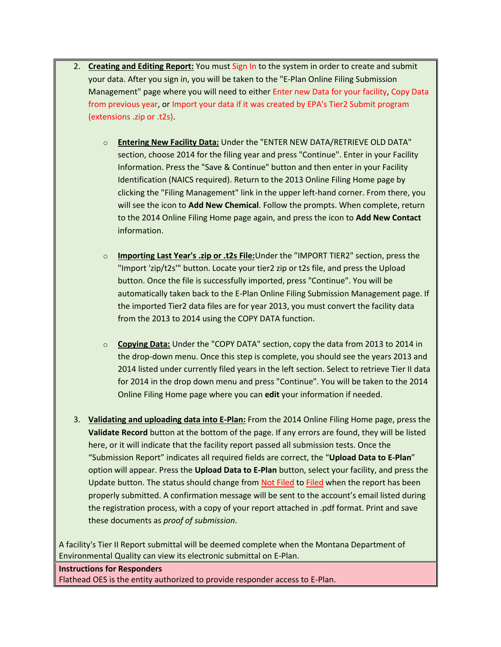- 2. **Creating and Editing Report:** You must Sign In to the system in order to create and submit your data. After you sign in, you will be taken to the "E-Plan Online Filing Submission Management" page where you will need to either Enter new Data for your facility, Copy Data from previous year, or Import your data if it was created by EPA's Tier2 Submit program (extensions .zip or .t2s).
	- o **Entering New Facility Data:** Under the "ENTER NEW DATA/RETRIEVE OLD DATA" section, choose 2014 for the filing year and press "Continue". Enter in your Facility Information. Press the "Save & Continue" button and then enter in your Facility Identification (NAICS required). Return to the 2013 Online Filing Home page by clicking the "Filing Management" link in the upper left-hand corner. From there, you will see the icon to **Add New Chemical**. Follow the prompts. When complete, return to the 2014 Online Filing Home page again, and press the icon to **Add New Contact** information.
	- o **Importing Last Year's .zip or .t2s File:**Under the "IMPORT TIER2" section, press the "Import 'zip/t2s'" button. Locate your tier2 zip or t2s file, and press the Upload button. Once the file is successfully imported, press "Continue". You will be automatically taken back to the E-Plan Online Filing Submission Management page. If the imported Tier2 data files are for year 2013, you must convert the facility data from the 2013 to 2014 using the COPY DATA function.
	- o **Copying Data:** Under the "COPY DATA" section, copy the data from 2013 to 2014 in the drop-down menu. Once this step is complete, you should see the years 2013 and 2014 listed under currently filed years in the left section. Select to retrieve Tier II data for 2014 in the drop down menu and press "Continue". You will be taken to the 2014 Online Filing Home page where you can **edit** your information if needed.
- 3. **Validating and uploading data into E-Plan:** From the 2014 Online Filing Home page, press the **Validate Record** button at the bottom of the page. If any errors are found, they will be listed here, or it will indicate that the facility report passed all submission tests. Once the "Submission Report" indicates all required fields are correct, the "**Upload Data to E-Plan**" option will appear. Press the **Upload Data to E-Plan** button, select your facility, and press the Update button. The status should change from Not Filed to Filed when the report has been properly submitted. A confirmation message will be sent to the account's email listed during the registration process, with a copy of your report attached in .pdf format. Print and save these documents as *proof of submission*.

A facility's Tier II Report submittal will be deemed complete when the Montana Department of Environmental Quality can view its electronic submittal on E-Plan.

# **Instructions for Responders** Flathead OES is the entity authorized to provide responder access to E-Plan.